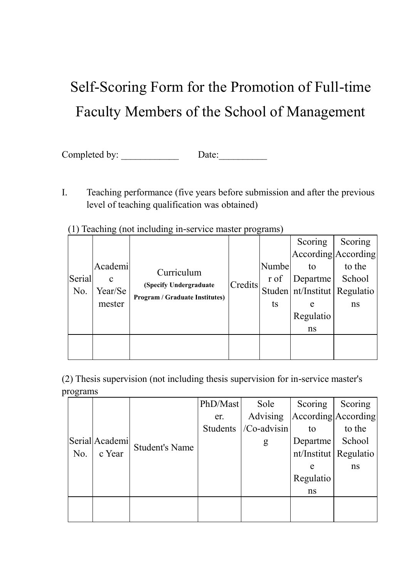# Self-Scoring Form for the Promotion of Full-time Faculty Members of the School of Management

Completed by: \_\_\_\_\_\_\_\_\_\_\_\_ Date:\_\_\_\_\_\_\_\_\_\_

I. Teaching performance (five years before submission and after the previous level of teaching qualification was obtained)

| $(1)$ reaching that memoring in Service master programs |                   |                                       |         |             |                                  |         |  |
|---------------------------------------------------------|-------------------|---------------------------------------|---------|-------------|----------------------------------|---------|--|
|                                                         |                   |                                       |         |             | Scoring                          | Scoring |  |
|                                                         |                   |                                       |         |             | According According              |         |  |
|                                                         | Academi           | Curriculum                            |         | Numbe<br>to |                                  | to the  |  |
| Serial                                                  | $\mathbf c$       | (Specify Undergraduate                | Credits | r of        | Departme                         | School  |  |
| No.                                                     | Year/Se<br>mester | <b>Program / Graduate Institutes)</b> |         | ts          | Studen   nt/Institut   Regulatio |         |  |
|                                                         |                   |                                       |         |             | e                                | ns      |  |
|                                                         |                   |                                       |         |             | Regulatio                        |         |  |
|                                                         |                   |                                       |         |             | ns                               |         |  |
|                                                         |                   |                                       |         |             |                                  |         |  |
|                                                         |                   |                                       |         |             |                                  |         |  |

(1) Teaching (not including in-service master programs)

(2) Thesis supervision (not including thesis supervision for in-service master's programs

|     |                          |                       | PhD/Mast | Sole        | Scoring                     | Scoring                 |
|-----|--------------------------|-----------------------|----------|-------------|-----------------------------|-------------------------|
|     |                          |                       | er.      | Advising    | $ $ According $ $ According |                         |
|     |                          |                       | Students | /Co-advisin | to                          | to the                  |
|     | Serial Academi<br>c Year | <b>Student's Name</b> |          | g           | Departme                    | School                  |
| No. |                          |                       |          |             |                             | nt/Institut   Regulatio |
|     |                          |                       |          |             | e                           | ns                      |
|     |                          |                       |          |             | Regulatio                   |                         |
|     |                          |                       |          |             | ns                          |                         |
|     |                          |                       |          |             |                             |                         |
|     |                          |                       |          |             |                             |                         |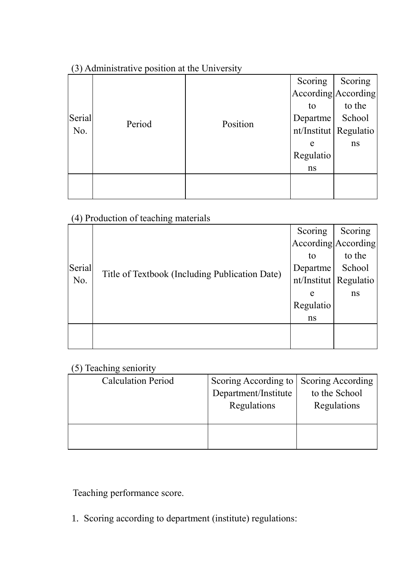# (3) Administrative position at the University

| Serial<br>No. |        |          | Scoring                                   | Scoring |
|---------------|--------|----------|-------------------------------------------|---------|
|               |        |          | According According                       |         |
|               |        |          | to<br>Departme<br>nt/Institut   Regulatio | to the  |
|               | Period | Position |                                           | School  |
|               |        |          |                                           |         |
|               |        |          | e                                         | ns      |
|               |        |          | Regulatio                                 |         |
|               |        |          | ns                                        |         |
|               |        |          |                                           |         |
|               |        |          |                                           |         |

# (4) Production of teaching materials

| Serial<br>No. |                                                | Scoring                 | Scoring |
|---------------|------------------------------------------------|-------------------------|---------|
|               |                                                | According According     |         |
|               |                                                | to                      | to the  |
|               | Title of Textbook (Including Publication Date) | Departme                | School  |
|               |                                                | nt/Institut   Regulatio |         |
|               |                                                | e                       | ns      |
|               |                                                | Regulatio               |         |
|               |                                                | ns                      |         |
|               |                                                |                         |         |
|               |                                                |                         |         |

# (5) Teaching seniority

| <b>Calculation Period</b> | Scoring According to Scoring According<br>Department/Institute<br>Regulations | to the School<br>Regulations |
|---------------------------|-------------------------------------------------------------------------------|------------------------------|
|                           |                                                                               |                              |

Teaching performance score.

1. Scoring according to department (institute) regulations: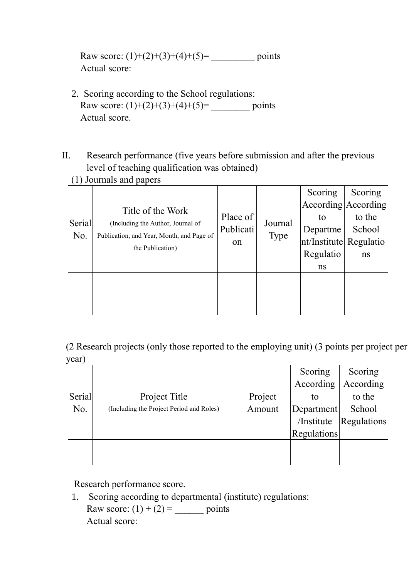Raw score:  $(1)+(2)+(3)+(4)+(5) =$  points Actual score:

- 2. Scoring according to the School regulations: Raw score:  $(1)+(2)+(3)+(4)+(5)$ = \_\_\_\_\_\_\_\_\_\_\_ points Actual score.
- II. Research performance (five years before submission and after the previous level of teaching qualification was obtained) (1) Journals and papers

| $\sqrt{2}$ |                                                                                |           |             |                        |         |
|------------|--------------------------------------------------------------------------------|-----------|-------------|------------------------|---------|
|            |                                                                                |           |             | Scoring                | Scoring |
|            | Title of the Work                                                              |           |             | According According    |         |
| Serial     |                                                                                | Place of  | Journal     | to                     | to the  |
|            | (Including the Author, Journal of<br>Publication, and Year, Month, and Page of | Publicati |             | Departme               | School  |
| No.        |                                                                                | on        | <b>Type</b> | nt/Institute Regulatio |         |
|            | the Publication)                                                               |           |             | Regulatio              | ns      |
|            |                                                                                |           |             | ns                     |         |
|            |                                                                                |           |             |                        |         |
|            |                                                                                |           |             |                        |         |
|            |                                                                                |           |             |                        |         |
|            |                                                                                |           |             |                        |         |

(2 Research projects (only those reported to the employing unit) (3 points per project per year)

|        |                                          |         | Scoring     | Scoring            |
|--------|------------------------------------------|---------|-------------|--------------------|
|        |                                          |         | According   | According          |
| Serial | Project Title                            | Project | to          | to the             |
| No.    | (Including the Project Period and Roles) | Amount  | Department  | School             |
|        |                                          |         | /Institute  | <b>Regulations</b> |
|        |                                          |         | Regulations |                    |
|        |                                          |         |             |                    |
|        |                                          |         |             |                    |

Research performance score.

1. Scoring according to departmental (institute) regulations: Raw score:  $(1) + (2) =$  points Actual score: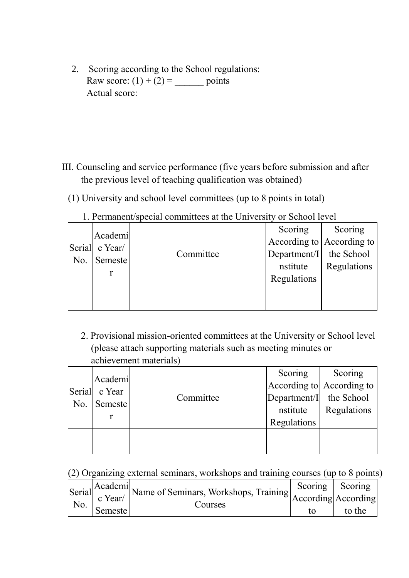2. Scoring according to the School regulations: Raw score:  $(1) + (2) =$  points Actual score:

- III. Counseling and service performance (five years before submission and after the previous level of teaching qualification was obtained)
	- (1) University and school level committees (up to 8 points in total)

|     | Academi        |           | Scoring                       | Scoring     |
|-----|----------------|-----------|-------------------------------|-------------|
|     | Serial c Year/ |           | According to $ $ According to |             |
| No. | Semeste        | Committee | Department/I the School       |             |
|     |                |           | nstitute                      | Regulations |
|     |                |           | Regulations                   |             |
|     |                |           |                               |             |
|     |                |           |                               |             |

1. Permanent/special committees at the University or School level

 2. Provisional mission-oriented committees at the University or School level (please attach supporting materials such as meeting minutes or achievement materials)

|     | Academi       |           | Scoring                 | Scoring                   |
|-----|---------------|-----------|-------------------------|---------------------------|
|     | Serial c Year |           |                         | According to According to |
| No. | Semeste       | Committee | Department/I the School |                           |
|     |               |           | nstitute                | Regulations               |
|     |               |           | Regulations             |                           |
|     |               |           |                         |                           |
|     |               |           |                         |                           |

(2) Organizing external seminars, workshops and training courses (up to 8 points)

|     |         | Serial Academi Name of Seminars, Workshops, Training Scoring Scoring Scoring Scoring Scoring Scoring Scoring Scoring Scoring Scoring Scoring Scoring Scoring Scoring Scoring Scoring Scoring Scoring Scoring Scoring Scoring S |        |
|-----|---------|--------------------------------------------------------------------------------------------------------------------------------------------------------------------------------------------------------------------------------|--------|
| No. |         |                                                                                                                                                                                                                                |        |
|     | Semeste | Courses                                                                                                                                                                                                                        | to the |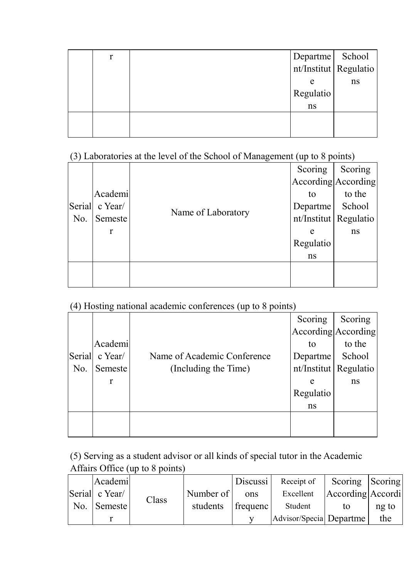| r |           |                                          |
|---|-----------|------------------------------------------|
|   |           | Departme School<br>nt/Institut Regulatio |
|   | e         | ns                                       |
|   | Regulatio |                                          |
|   | ns        |                                          |
|   |           |                                          |
|   |           |                                          |

(3) Laboratories at the level of the School of Management (up to 8 points)

|     |                |                    | ╰╶┸<br>л.<br>Scoring | Scoring                 |
|-----|----------------|--------------------|----------------------|-------------------------|
|     |                |                    |                      | According According     |
|     | Academi        |                    | to                   | to the                  |
|     | Serial c Year/ | Name of Laboratory | Departme             | School                  |
| No. | Semeste        |                    |                      | nt/Institut   Regulatio |
|     | $\mathbf r$    |                    | e                    | ns                      |
|     |                |                    | Regulatio            |                         |
|     |                |                    | ns                   |                         |
|     |                |                    |                      |                         |
|     |                |                    |                      |                         |

#### (4) Hosting national academic conferences (up to 8 points)

| $\sqrt{2}$ |             |                             |                         |                     |
|------------|-------------|-----------------------------|-------------------------|---------------------|
|            |             |                             | Scoring                 | Scoring             |
|            |             |                             |                         | According According |
|            | Academi     |                             | to                      | to the              |
| Serial     | $c$ Year/   | Name of Academic Conference | Departme                | School              |
| No.        | Semeste     | (Including the Time)        | nt/Institut   Regulatio |                     |
|            | $\mathbf r$ |                             | e                       | ns                  |
|            |             |                             | Regulatio               |                     |
|            |             |                             | ns                      |                     |
|            |             |                             |                         |                     |
|            |             |                             |                         |                     |

(5) Serving as a student advisor or all kinds of special tutor in the Academic Affairs Office (up to 8 points)

|  | Academi        |       |           | Discussi | Receipt of               | Scoring Scoring   |       |
|--|----------------|-------|-----------|----------|--------------------------|-------------------|-------|
|  | Serial c Year/ | Class | Number of | ons      | Excellent                | According Accordi |       |
|  | No. Semeste    |       | students  | frequenc | Student                  | tο                | ng to |
|  |                |       |           |          | Advisor/Special Departme |                   | the   |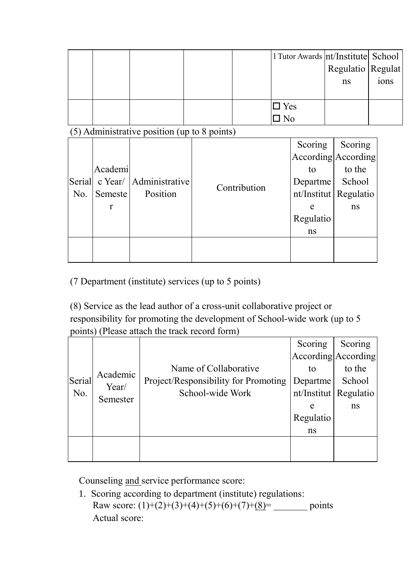|                                              |             |                |  |              |                               |           | 1 Tutor Awards   nt/Institute   School<br>Regulatio Regulat |      |
|----------------------------------------------|-------------|----------------|--|--------------|-------------------------------|-----------|-------------------------------------------------------------|------|
|                                              |             |                |  |              |                               |           | ns                                                          | ions |
|                                              |             |                |  |              | $\square$ Yes<br>$\square$ No |           |                                                             |      |
| (5) Administrative position (up to 8 points) |             |                |  |              |                               |           |                                                             |      |
|                                              |             |                |  |              |                               | Scoring   | Scoring                                                     |      |
|                                              |             |                |  |              |                               |           | According According                                         |      |
|                                              | Academi     |                |  |              |                               | to        | to the                                                      |      |
| Serial                                       | $c$ Year/   | Administrative |  | Contribution |                               |           | School<br>Departme                                          |      |
| No.                                          | Semeste     | Position       |  |              |                               |           | nt/Institut   Regulatio                                     |      |
|                                              | $\mathbf r$ |                |  |              |                               | e         | ns                                                          |      |
|                                              |             |                |  |              |                               | Regulatio |                                                             |      |
|                                              |             |                |  |              |                               | ns        |                                                             |      |
|                                              |             |                |  |              |                               |           |                                                             |      |

(7 Department (institute) services (up to 5 points)

(8) Service as the lead author of a cross-unit collaborative project or responsibility for promoting the development of School-wide work (up to 5 points) (Please attach the track record form)

|        |          |                                      | Scoring                 | Scoring |
|--------|----------|--------------------------------------|-------------------------|---------|
|        |          |                                      | According According     |         |
|        | Academic | Name of Collaborative                | to                      | to the  |
| Serial | Year/    | Project/Responsibility for Promoting | Departme                | School  |
| No.    | Semester | School-wide Work                     | nt/Institut   Regulatio |         |
|        |          |                                      | e                       | ns      |
|        |          |                                      | Regulatio               |         |
|        |          |                                      | ns                      |         |
|        |          |                                      |                         |         |
|        |          |                                      |                         |         |

Counseling and service performance score:

1. Scoring according to department (institute) regulations: Raw score:  $(1)+(2)+(3)+(4)+(5)+(6)+(7)+(8)$ = \_\_\_\_\_\_\_ points Actual score: